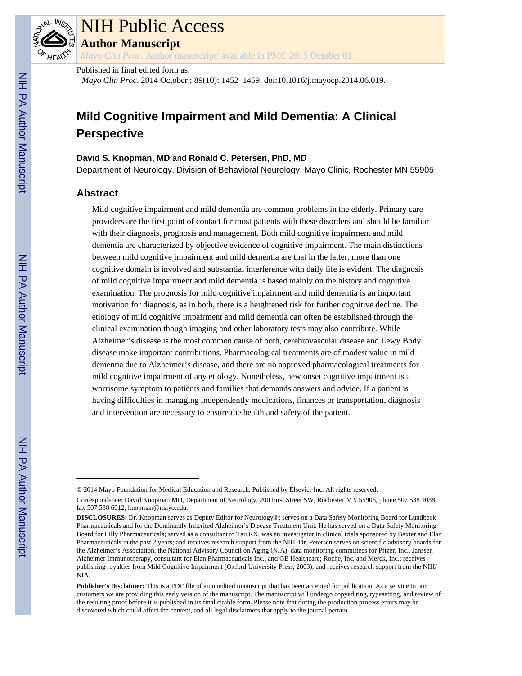

# NIH Public Access

**Author Manuscript**

*Mayo Clin Proc*. Author manuscript; available in PMC 2015 October 01.

#### Published in final edited form as:

*Mayo Clin Proc*. 2014 October ; 89(10): 1452–1459. doi:10.1016/j.mayocp.2014.06.019.

# **Mild Cognitive Impairment and Mild Dementia: A Clinical Perspective**

#### **David S. Knopman, MD** and **Ronald C. Petersen, PhD, MD**

Department of Neurology, Division of Behavioral Neurology, Mayo Clinic, Rochester MN 55905

# **Abstract**

Mild cognitive impairment and mild dementia are common problems in the elderly. Primary care providers are the first point of contact for most patients with these disorders and should be familiar with their diagnosis, prognosis and management. Both mild cognitive impairment and mild dementia are characterized by objective evidence of cognitive impairment. The main distinctions between mild cognitive impairment and mild dementia are that in the latter, more than one cognitive domain is involved and substantial interference with daily life is evident. The diagnosis of mild cognitive impairment and mild dementia is based mainly on the history and cognitive examination. The prognosis for mild cognitive impairment and mild dementia is an important motivation for diagnosis, as in both, there is a heightened risk for further cognitive decline. The etiology of mild cognitive impairment and mild dementia can often be established through the clinical examination though imaging and other laboratory tests may also contribute. While Alzheimer's disease is the most common cause of both, cerebrovascular disease and Lewy Body disease make important contributions. Pharmacological treatments are of modest value in mild dementia due to Alzheimer's disease, and there are no approved pharmacological treatments for mild cognitive impairment of any etiology. Nonetheless, new onset cognitive impairment is a worrisome symptom to patients and families that demands answers and advice. If a patient is having difficulties in managing independently medications, finances or transportation, diagnosis and intervention are necessary to ensure the health and safety of the patient.

<sup>© 2014</sup> Mayo Foundation for Medical Education and Research. Published by Elsevier Inc. All rights reserved.

Correspondence: David Knopman MD, Department of Neurology, 200 First Street SW, Rochester MN 55905, phone 507 538 1038, fax 507 538 6012, knopman@mayo.edu.

**DISCLOSURES:** Dr. Knopman serves as Deputy Editor for Neurology®; serves on a Data Safety Monitoring Board for Lundbeck Pharmaceuticals and for the Dominantly Inherited Alzheimer's Disease Treatment Unit. He has served on a Data Safety Monitoring Board for Lilly Pharmaceuticals; served as a consultant to Tau RX, was an investigator in clinical trials sponsored by Baxter and Elan Pharmaceuticals in the past 2 years; and receives research support from the NIH. Dr. Petersen serves on scientific advisory boards for the Alzheimer's Association, the National Advisory Council on Aging (NIA), data monitoring committees for Pfizer, Inc., Janssen Alzheimer Immunotherapy, consultant for Elan Pharmaceuticals Inc., and GE Healthcare; Roche, Inc, and Merck, Inc.; receives publishing royalties from Mild Cognitive Impairment (Oxford University Press, 2003), and receives research support from the NIH/ NIA.

**Publisher's Disclaimer:** This is a PDF file of an unedited manuscript that has been accepted for publication. As a service to our customers we are providing this early version of the manuscript. The manuscript will undergo copyediting, typesetting, and review of the resulting proof before it is published in its final citable form. Please note that during the production process errors may be discovered which could affect the content, and all legal disclaimers that apply to the journal pertain.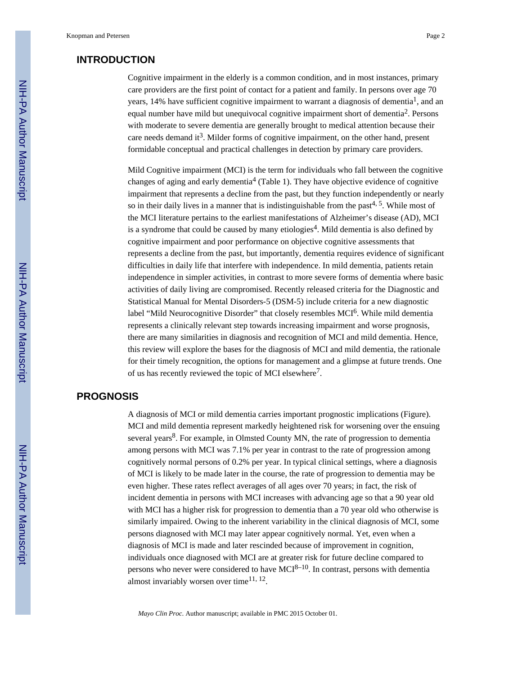# **INTRODUCTION**

Cognitive impairment in the elderly is a common condition, and in most instances, primary care providers are the first point of contact for a patient and family. In persons over age 70 years, 14% have sufficient cognitive impairment to warrant a diagnosis of dementia<sup>1</sup>, and an equal number have mild but unequivocal cognitive impairment short of dementia<sup>2</sup>. Persons with moderate to severe dementia are generally brought to medical attention because their care needs demand it<sup>3</sup>. Milder forms of cognitive impairment, on the other hand, present formidable conceptual and practical challenges in detection by primary care providers.

Mild Cognitive impairment (MCI) is the term for individuals who fall between the cognitive changes of aging and early dementia<sup>4</sup> (Table 1). They have objective evidence of cognitive impairment that represents a decline from the past, but they function independently or nearly so in their daily lives in a manner that is indistinguishable from the past<sup>4, 5</sup>. While most of the MCI literature pertains to the earliest manifestations of Alzheimer's disease (AD), MCI is a syndrome that could be caused by many etiologies<sup>4</sup>. Mild dementia is also defined by cognitive impairment and poor performance on objective cognitive assessments that represents a decline from the past, but importantly, dementia requires evidence of significant difficulties in daily life that interfere with independence. In mild dementia, patients retain independence in simpler activities, in contrast to more severe forms of dementia where basic activities of daily living are compromised. Recently released criteria for the Diagnostic and Statistical Manual for Mental Disorders-5 (DSM-5) include criteria for a new diagnostic label "Mild Neurocognitive Disorder" that closely resembles MCI<sup>6</sup>. While mild dementia represents a clinically relevant step towards increasing impairment and worse prognosis, there are many similarities in diagnosis and recognition of MCI and mild dementia. Hence, this review will explore the bases for the diagnosis of MCI and mild dementia, the rationale for their timely recognition, the options for management and a glimpse at future trends. One of us has recently reviewed the topic of MCI elsewhere<sup>7</sup>.

# **PROGNOSIS**

A diagnosis of MCI or mild dementia carries important prognostic implications (Figure). MCI and mild dementia represent markedly heightened risk for worsening over the ensuing several years<sup>8</sup>. For example, in Olmsted County MN, the rate of progression to dementia among persons with MCI was 7.1% per year in contrast to the rate of progression among cognitively normal persons of 0.2% per year. In typical clinical settings, where a diagnosis of MCI is likely to be made later in the course, the rate of progression to dementia may be even higher. These rates reflect averages of all ages over 70 years; in fact, the risk of incident dementia in persons with MCI increases with advancing age so that a 90 year old with MCI has a higher risk for progression to dementia than a 70 year old who otherwise is similarly impaired. Owing to the inherent variability in the clinical diagnosis of MCI, some persons diagnosed with MCI may later appear cognitively normal. Yet, even when a diagnosis of MCI is made and later rescinded because of improvement in cognition, individuals once diagnosed with MCI are at greater risk for future decline compared to persons who never were considered to have  $MCI^{8-10}$ . In contrast, persons with dementia almost invariably worsen over time $11, 12$ .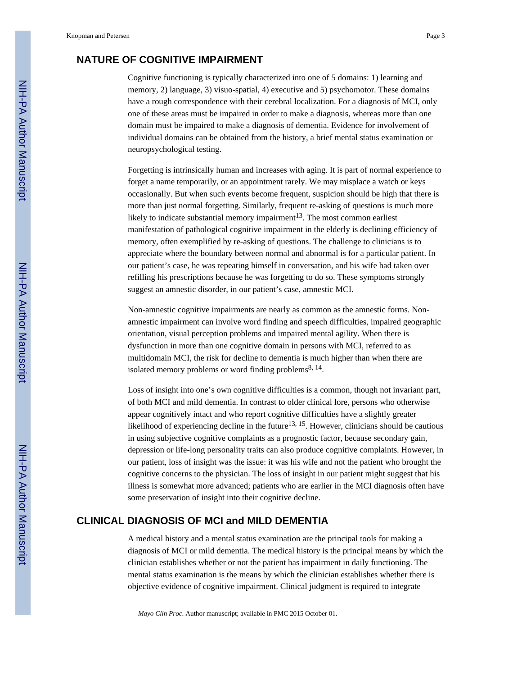# **NATURE OF COGNITIVE IMPAIRMENT**

Cognitive functioning is typically characterized into one of 5 domains: 1) learning and memory, 2) language, 3) visuo-spatial, 4) executive and 5) psychomotor. These domains have a rough correspondence with their cerebral localization. For a diagnosis of MCI, only one of these areas must be impaired in order to make a diagnosis, whereas more than one domain must be impaired to make a diagnosis of dementia. Evidence for involvement of individual domains can be obtained from the history, a brief mental status examination or neuropsychological testing.

Forgetting is intrinsically human and increases with aging. It is part of normal experience to forget a name temporarily, or an appointment rarely. We may misplace a watch or keys occasionally. But when such events become frequent, suspicion should be high that there is more than just normal forgetting. Similarly, frequent re-asking of questions is much more likely to indicate substantial memory impairment<sup>13</sup>. The most common earliest manifestation of pathological cognitive impairment in the elderly is declining efficiency of memory, often exemplified by re-asking of questions. The challenge to clinicians is to appreciate where the boundary between normal and abnormal is for a particular patient. In our patient's case, he was repeating himself in conversation, and his wife had taken over refilling his prescriptions because he was forgetting to do so. These symptoms strongly suggest an amnestic disorder, in our patient's case, amnestic MCI.

Non-amnestic cognitive impairments are nearly as common as the amnestic forms. Nonamnestic impairment can involve word finding and speech difficulties, impaired geographic orientation, visual perception problems and impaired mental agility. When there is dysfunction in more than one cognitive domain in persons with MCI, referred to as multidomain MCI, the risk for decline to dementia is much higher than when there are isolated memory problems or word finding problems<sup>8, 14</sup>.

Loss of insight into one's own cognitive difficulties is a common, though not invariant part, of both MCI and mild dementia. In contrast to older clinical lore, persons who otherwise appear cognitively intact and who report cognitive difficulties have a slightly greater likelihood of experiencing decline in the future<sup>13, 15</sup>. However, clinicians should be cautious in using subjective cognitive complaints as a prognostic factor, because secondary gain, depression or life-long personality traits can also produce cognitive complaints. However, in our patient, loss of insight was the issue: it was his wife and not the patient who brought the cognitive concerns to the physician. The loss of insight in our patient might suggest that his illness is somewhat more advanced; patients who are earlier in the MCI diagnosis often have some preservation of insight into their cognitive decline.

# **CLINICAL DIAGNOSIS OF MCI and MILD DEMENTIA**

A medical history and a mental status examination are the principal tools for making a diagnosis of MCI or mild dementia. The medical history is the principal means by which the clinician establishes whether or not the patient has impairment in daily functioning. The mental status examination is the means by which the clinician establishes whether there is objective evidence of cognitive impairment. Clinical judgment is required to integrate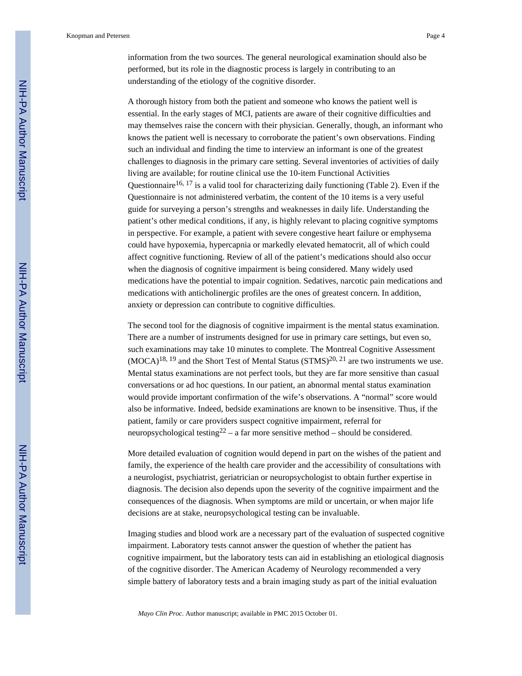Knopman and Petersen **Page 4** Page 4

information from the two sources. The general neurological examination should also be performed, but its role in the diagnostic process is largely in contributing to an understanding of the etiology of the cognitive disorder.

A thorough history from both the patient and someone who knows the patient well is essential. In the early stages of MCI, patients are aware of their cognitive difficulties and may themselves raise the concern with their physician. Generally, though, an informant who knows the patient well is necessary to corroborate the patient's own observations. Finding such an individual and finding the time to interview an informant is one of the greatest challenges to diagnosis in the primary care setting. Several inventories of activities of daily living are available; for routine clinical use the 10-item Functional Activities Questionnaire<sup>16, 17</sup> is a valid tool for characterizing daily functioning (Table 2). Even if the Questionnaire is not administered verbatim, the content of the 10 items is a very useful guide for surveying a person's strengths and weaknesses in daily life. Understanding the patient's other medical conditions, if any, is highly relevant to placing cognitive symptoms in perspective. For example, a patient with severe congestive heart failure or emphysema could have hypoxemia, hypercapnia or markedly elevated hematocrit, all of which could affect cognitive functioning. Review of all of the patient's medications should also occur when the diagnosis of cognitive impairment is being considered. Many widely used medications have the potential to impair cognition. Sedatives, narcotic pain medications and medications with anticholinergic profiles are the ones of greatest concern. In addition, anxiety or depression can contribute to cognitive difficulties.

The second tool for the diagnosis of cognitive impairment is the mental status examination. There are a number of instruments designed for use in primary care settings, but even so, such examinations may take 10 minutes to complete. The Montreal Cognitive Assessment  $(MOCA)^{18, 19}$  and the Short Test of Mental Status  $(STMS)^{20, 21}$  are two instruments we use. Mental status examinations are not perfect tools, but they are far more sensitive than casual conversations or ad hoc questions. In our patient, an abnormal mental status examination would provide important confirmation of the wife's observations. A "normal" score would also be informative. Indeed, bedside examinations are known to be insensitive. Thus, if the patient, family or care providers suspect cognitive impairment, referral for neuropsychological testing<sup>22</sup> – a far more sensitive method – should be considered.

More detailed evaluation of cognition would depend in part on the wishes of the patient and family, the experience of the health care provider and the accessibility of consultations with a neurologist, psychiatrist, geriatrician or neuropsychologist to obtain further expertise in diagnosis. The decision also depends upon the severity of the cognitive impairment and the consequences of the diagnosis. When symptoms are mild or uncertain, or when major life decisions are at stake, neuropsychological testing can be invaluable.

Imaging studies and blood work are a necessary part of the evaluation of suspected cognitive impairment. Laboratory tests cannot answer the question of whether the patient has cognitive impairment, but the laboratory tests can aid in establishing an etiological diagnosis of the cognitive disorder. The American Academy of Neurology recommended a very simple battery of laboratory tests and a brain imaging study as part of the initial evaluation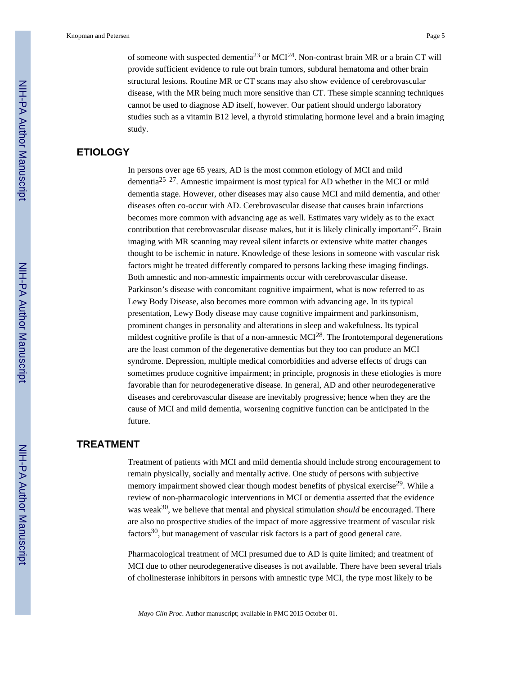of someone with suspected dementia<sup>23</sup> or MCI<sup>24</sup>. Non-contrast brain MR or a brain CT will provide sufficient evidence to rule out brain tumors, subdural hematoma and other brain structural lesions. Routine MR or CT scans may also show evidence of cerebrovascular disease, with the MR being much more sensitive than CT. These simple scanning techniques cannot be used to diagnose AD itself, however. Our patient should undergo laboratory studies such as a vitamin B12 level, a thyroid stimulating hormone level and a brain imaging study.

# **ETIOLOGY**

In persons over age 65 years, AD is the most common etiology of MCI and mild dementia25–27. Amnestic impairment is most typical for AD whether in the MCI or mild dementia stage. However, other diseases may also cause MCI and mild dementia, and other diseases often co-occur with AD. Cerebrovascular disease that causes brain infarctions becomes more common with advancing age as well. Estimates vary widely as to the exact contribution that cerebrovascular disease makes, but it is likely clinically important  $27$ . Brain imaging with MR scanning may reveal silent infarcts or extensive white matter changes thought to be ischemic in nature. Knowledge of these lesions in someone with vascular risk factors might be treated differently compared to persons lacking these imaging findings. Both amnestic and non-amnestic impairments occur with cerebrovascular disease. Parkinson's disease with concomitant cognitive impairment, what is now referred to as Lewy Body Disease, also becomes more common with advancing age. In its typical presentation, Lewy Body disease may cause cognitive impairment and parkinsonism, prominent changes in personality and alterations in sleep and wakefulness. Its typical mildest cognitive profile is that of a non-amnestic  $MCI^{28}$ . The frontotemporal degenerations are the least common of the degenerative dementias but they too can produce an MCI syndrome. Depression, multiple medical comorbidities and adverse effects of drugs can sometimes produce cognitive impairment; in principle, prognosis in these etiologies is more favorable than for neurodegenerative disease. In general, AD and other neurodegenerative diseases and cerebrovascular disease are inevitably progressive; hence when they are the cause of MCI and mild dementia, worsening cognitive function can be anticipated in the future.

# **TREATMENT**

Treatment of patients with MCI and mild dementia should include strong encouragement to remain physically, socially and mentally active. One study of persons with subjective memory impairment showed clear though modest benefits of physical exercise<sup>29</sup>. While a review of non-pharmacologic interventions in MCI or dementia asserted that the evidence was weak<sup>30</sup>, we believe that mental and physical stimulation *should* be encouraged. There are also no prospective studies of the impact of more aggressive treatment of vascular risk factors $30$ , but management of vascular risk factors is a part of good general care.

Pharmacological treatment of MCI presumed due to AD is quite limited; and treatment of MCI due to other neurodegenerative diseases is not available. There have been several trials of cholinesterase inhibitors in persons with amnestic type MCI, the type most likely to be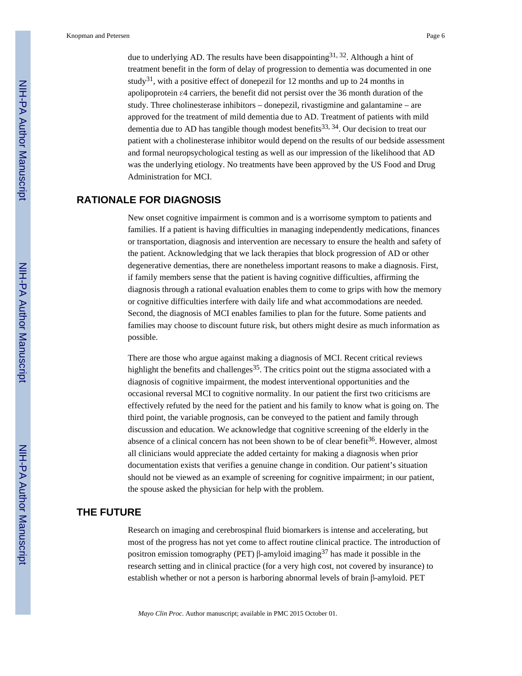due to underlying AD. The results have been disappointing  $31, 32$ . Although a hint of treatment benefit in the form of delay of progression to dementia was documented in one study<sup>31</sup>, with a positive effect of donepezil for 12 months and up to 24 months in apolipoprotein ε4 carriers, the benefit did not persist over the 36 month duration of the study. Three cholinesterase inhibitors – donepezil, rivastigmine and galantamine – are approved for the treatment of mild dementia due to AD. Treatment of patients with mild dementia due to AD has tangible though modest benefits<sup>33, 34</sup>. Our decision to treat our patient with a cholinesterase inhibitor would depend on the results of our bedside assessment and formal neuropsychological testing as well as our impression of the likelihood that AD was the underlying etiology. No treatments have been approved by the US Food and Drug Administration for MCI.

# **RATIONALE FOR DIAGNOSIS**

New onset cognitive impairment is common and is a worrisome symptom to patients and families. If a patient is having difficulties in managing independently medications, finances or transportation, diagnosis and intervention are necessary to ensure the health and safety of the patient. Acknowledging that we lack therapies that block progression of AD or other degenerative dementias, there are nonetheless important reasons to make a diagnosis. First, if family members sense that the patient is having cognitive difficulties, affirming the diagnosis through a rational evaluation enables them to come to grips with how the memory or cognitive difficulties interfere with daily life and what accommodations are needed. Second, the diagnosis of MCI enables families to plan for the future. Some patients and families may choose to discount future risk, but others might desire as much information as possible.

There are those who argue against making a diagnosis of MCI. Recent critical reviews highlight the benefits and challenges<sup>35</sup>. The critics point out the stigma associated with a diagnosis of cognitive impairment, the modest interventional opportunities and the occasional reversal MCI to cognitive normality. In our patient the first two criticisms are effectively refuted by the need for the patient and his family to know what is going on. The third point, the variable prognosis, can be conveyed to the patient and family through discussion and education. We acknowledge that cognitive screening of the elderly in the absence of a clinical concern has not been shown to be of clear benefit<sup>36</sup>. However, almost all clinicians would appreciate the added certainty for making a diagnosis when prior documentation exists that verifies a genuine change in condition. Our patient's situation should not be viewed as an example of screening for cognitive impairment; in our patient, the spouse asked the physician for help with the problem.

# **THE FUTURE**

Research on imaging and cerebrospinal fluid biomarkers is intense and accelerating, but most of the progress has not yet come to affect routine clinical practice. The introduction of positron emission tomography (PET) β-amyloid imaging<sup>37</sup> has made it possible in the research setting and in clinical practice (for a very high cost, not covered by insurance) to establish whether or not a person is harboring abnormal levels of brain β-amyloid. PET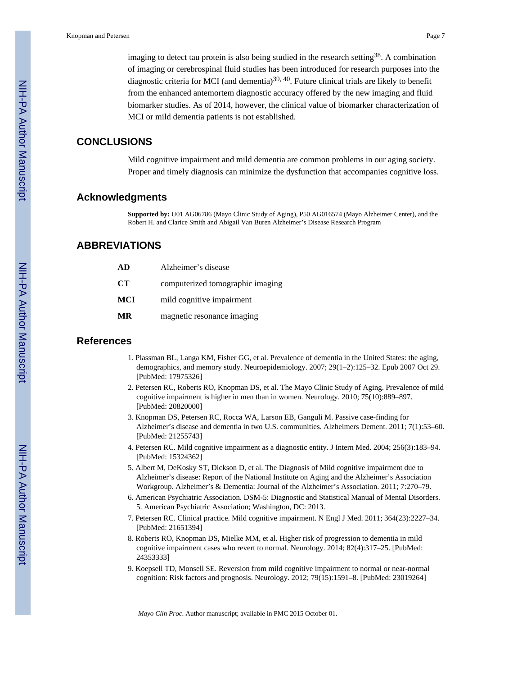imaging to detect tau protein is also being studied in the research setting<sup>38</sup>. A combination of imaging or cerebrospinal fluid studies has been introduced for research purposes into the diagnostic criteria for MCI (and dementia) $39, 40$ . Future clinical trials are likely to benefit from the enhanced antemortem diagnostic accuracy offered by the new imaging and fluid biomarker studies. As of 2014, however, the clinical value of biomarker characterization of MCI or mild dementia patients is not established.

# **CONCLUSIONS**

Mild cognitive impairment and mild dementia are common problems in our aging society. Proper and timely diagnosis can minimize the dysfunction that accompanies cognitive loss.

# **Acknowledgments**

**Supported by:** U01 AG06786 (Mayo Clinic Study of Aging), P50 AG016574 (Mayo Alzheimer Center), and the Robert H. and Clarice Smith and Abigail Van Buren Alzheimer's Disease Research Program

# **ABBREVIATIONS**

| AD        | Alzheimer's disease              |
|-----------|----------------------------------|
| <b>CT</b> | computerized tomographic imaging |
| MCI       | mild cognitive impairment        |
| MR        | magnetic resonance imaging       |
|           |                                  |

#### **References**

- 1. Plassman BL, Langa KM, Fisher GG, et al. Prevalence of dementia in the United States: the aging, demographics, and memory study. Neuroepidemiology. 2007; 29(1–2):125–32. Epub 2007 Oct 29. [PubMed: 17975326]
- 2. Petersen RC, Roberts RO, Knopman DS, et al. The Mayo Clinic Study of Aging. Prevalence of mild cognitive impairment is higher in men than in women. Neurology. 2010; 75(10):889–897. [PubMed: 20820000]
- 3. Knopman DS, Petersen RC, Rocca WA, Larson EB, Ganguli M. Passive case-finding for Alzheimer's disease and dementia in two U.S. communities. Alzheimers Dement. 2011; 7(1):53–60. [PubMed: 21255743]
- 4. Petersen RC. Mild cognitive impairment as a diagnostic entity. J Intern Med. 2004; 256(3):183–94. [PubMed: 15324362]
- 5. Albert M, DeKosky ST, Dickson D, et al. The Diagnosis of Mild cognitive impairment due to Alzheimer's disease: Report of the National Institute on Aging and the Alzheimer's Association Workgroup. Alzheimer's & Dementia: Journal of the Alzheimer's Association. 2011; 7:270–79.
- 6. American Psychiatric Association. DSM-5: Diagnostic and Statistical Manual of Mental Disorders. 5. American Psychiatric Association; Washington, DC: 2013.
- 7. Petersen RC. Clinical practice. Mild cognitive impairment. N Engl J Med. 2011; 364(23):2227–34. [PubMed: 21651394]
- 8. Roberts RO, Knopman DS, Mielke MM, et al. Higher risk of progression to dementia in mild cognitive impairment cases who revert to normal. Neurology. 2014; 82(4):317–25. [PubMed: 24353333]
- 9. Koepsell TD, Monsell SE. Reversion from mild cognitive impairment to normal or near-normal cognition: Risk factors and prognosis. Neurology. 2012; 79(15):1591–8. [PubMed: 23019264]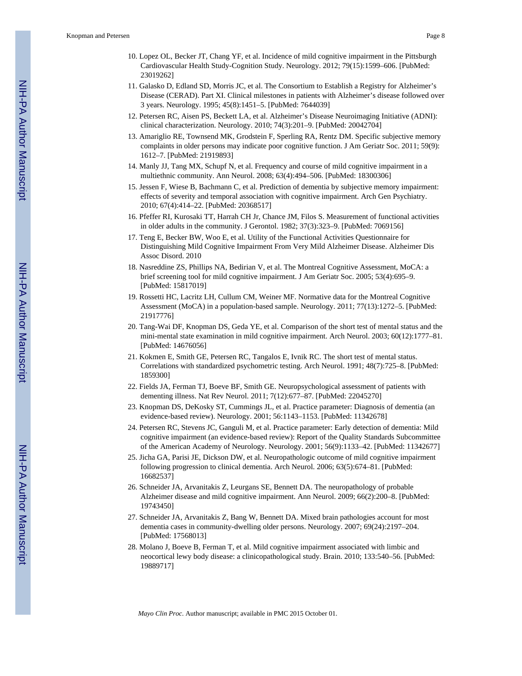- 10. Lopez OL, Becker JT, Chang YF, et al. Incidence of mild cognitive impairment in the Pittsburgh Cardiovascular Health Study-Cognition Study. Neurology. 2012; 79(15):1599–606. [PubMed: 23019262]
- 11. Galasko D, Edland SD, Morris JC, et al. The Consortium to Establish a Registry for Alzheimer's Disease (CERAD). Part XI. Clinical milestones in patients with Alzheimer's disease followed over 3 years. Neurology. 1995; 45(8):1451–5. [PubMed: 7644039]
- 12. Petersen RC, Aisen PS, Beckett LA, et al. Alzheimer's Disease Neuroimaging Initiative (ADNI): clinical characterization. Neurology. 2010; 74(3):201–9. [PubMed: 20042704]
- 13. Amariglio RE, Townsend MK, Grodstein F, Sperling RA, Rentz DM. Specific subjective memory complaints in older persons may indicate poor cognitive function. J Am Geriatr Soc. 2011; 59(9): 1612–7. [PubMed: 21919893]
- 14. Manly JJ, Tang MX, Schupf N, et al. Frequency and course of mild cognitive impairment in a multiethnic community. Ann Neurol. 2008; 63(4):494–506. [PubMed: 18300306]
- 15. Jessen F, Wiese B, Bachmann C, et al. Prediction of dementia by subjective memory impairment: effects of severity and temporal association with cognitive impairment. Arch Gen Psychiatry. 2010; 67(4):414–22. [PubMed: 20368517]
- 16. Pfeffer RI, Kurosaki TT, Harrah CH Jr, Chance JM, Filos S. Measurement of functional activities in older adults in the community. J Gerontol. 1982; 37(3):323–9. [PubMed: 7069156]
- 17. Teng E, Becker BW, Woo E, et al. Utility of the Functional Activities Questionnaire for Distinguishing Mild Cognitive Impairment From Very Mild Alzheimer Disease. Alzheimer Dis Assoc Disord. 2010
- 18. Nasreddine ZS, Phillips NA, Bedirian V, et al. The Montreal Cognitive Assessment, MoCA: a brief screening tool for mild cognitive impairment. J Am Geriatr Soc. 2005; 53(4):695–9. [PubMed: 15817019]
- 19. Rossetti HC, Lacritz LH, Cullum CM, Weiner MF. Normative data for the Montreal Cognitive Assessment (MoCA) in a population-based sample. Neurology. 2011; 77(13):1272–5. [PubMed: 21917776]
- 20. Tang-Wai DF, Knopman DS, Geda YE, et al. Comparison of the short test of mental status and the mini-mental state examination in mild cognitive impairment. Arch Neurol. 2003; 60(12):1777–81. [PubMed: 14676056]
- 21. Kokmen E, Smith GE, Petersen RC, Tangalos E, Ivnik RC. The short test of mental status. Correlations with standardized psychometric testing. Arch Neurol. 1991; 48(7):725–8. [PubMed: 1859300]
- 22. Fields JA, Ferman TJ, Boeve BF, Smith GE. Neuropsychological assessment of patients with dementing illness. Nat Rev Neurol. 2011; 7(12):677–87. [PubMed: 22045270]
- 23. Knopman DS, DeKosky ST, Cummings JL, et al. Practice parameter: Diagnosis of dementia (an evidence-based review). Neurology. 2001; 56:1143–1153. [PubMed: 11342678]
- 24. Petersen RC, Stevens JC, Ganguli M, et al. Practice parameter: Early detection of dementia: Mild cognitive impairment (an evidence-based review): Report of the Quality Standards Subcommittee of the American Academy of Neurology. Neurology. 2001; 56(9):1133–42. [PubMed: 11342677]
- 25. Jicha GA, Parisi JE, Dickson DW, et al. Neuropathologic outcome of mild cognitive impairment following progression to clinical dementia. Arch Neurol. 2006; 63(5):674–81. [PubMed: 16682537]
- 26. Schneider JA, Arvanitakis Z, Leurgans SE, Bennett DA. The neuropathology of probable Alzheimer disease and mild cognitive impairment. Ann Neurol. 2009; 66(2):200–8. [PubMed: 19743450]
- 27. Schneider JA, Arvanitakis Z, Bang W, Bennett DA. Mixed brain pathologies account for most dementia cases in community-dwelling older persons. Neurology. 2007; 69(24):2197–204. [PubMed: 17568013]
- 28. Molano J, Boeve B, Ferman T, et al. Mild cognitive impairment associated with limbic and neocortical lewy body disease: a clinicopathological study. Brain. 2010; 133:540–56. [PubMed: 19889717]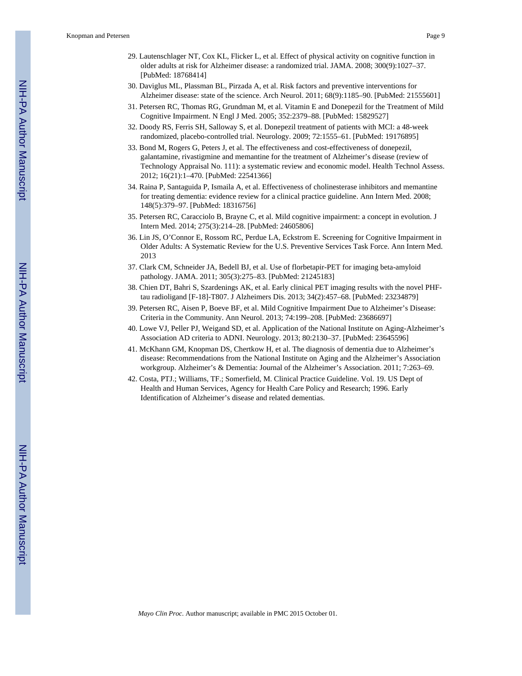- 29. Lautenschlager NT, Cox KL, Flicker L, et al. Effect of physical activity on cognitive function in older adults at risk for Alzheimer disease: a randomized trial. JAMA. 2008; 300(9):1027–37. [PubMed: 18768414]
- 30. Daviglus ML, Plassman BL, Pirzada A, et al. Risk factors and preventive interventions for Alzheimer disease: state of the science. Arch Neurol. 2011; 68(9):1185–90. [PubMed: 21555601]
- 31. Petersen RC, Thomas RG, Grundman M, et al. Vitamin E and Donepezil for the Treatment of Mild Cognitive Impairment. N Engl J Med. 2005; 352:2379–88. [PubMed: 15829527]
- 32. Doody RS, Ferris SH, Salloway S, et al. Donepezil treatment of patients with MCI: a 48-week randomized, placebo-controlled trial. Neurology. 2009; 72:1555–61. [PubMed: 19176895]
- 33. Bond M, Rogers G, Peters J, et al. The effectiveness and cost-effectiveness of donepezil, galantamine, rivastigmine and memantine for the treatment of Alzheimer's disease (review of Technology Appraisal No. 111): a systematic review and economic model. Health Technol Assess. 2012; 16(21):1–470. [PubMed: 22541366]
- 34. Raina P, Santaguida P, Ismaila A, et al. Effectiveness of cholinesterase inhibitors and memantine for treating dementia: evidence review for a clinical practice guideline. Ann Intern Med. 2008; 148(5):379–97. [PubMed: 18316756]
- 35. Petersen RC, Caracciolo B, Brayne C, et al. Mild cognitive impairment: a concept in evolution. J Intern Med. 2014; 275(3):214–28. [PubMed: 24605806]
- 36. Lin JS, O'Connor E, Rossom RC, Perdue LA, Eckstrom E. Screening for Cognitive Impairment in Older Adults: A Systematic Review for the U.S. Preventive Services Task Force. Ann Intern Med. 2013
- 37. Clark CM, Schneider JA, Bedell BJ, et al. Use of florbetapir-PET for imaging beta-amyloid pathology. JAMA. 2011; 305(3):275–83. [PubMed: 21245183]
- 38. Chien DT, Bahri S, Szardenings AK, et al. Early clinical PET imaging results with the novel PHFtau radioligand [F-18]-T807. J Alzheimers Dis. 2013; 34(2):457–68. [PubMed: 23234879]
- 39. Petersen RC, Aisen P, Boeve BF, et al. Mild Cognitive Impairment Due to Alzheimer's Disease: Criteria in the Community. Ann Neurol. 2013; 74:199–208. [PubMed: 23686697]
- 40. Lowe VJ, Peller PJ, Weigand SD, et al. Application of the National Institute on Aging-Alzheimer's Association AD criteria to ADNI. Neurology. 2013; 80:2130–37. [PubMed: 23645596]
- 41. McKhann GM, Knopman DS, Chertkow H, et al. The diagnosis of dementia due to Alzheimer's disease: Recommendations from the National Institute on Aging and the Alzheimer's Association workgroup. Alzheimer's & Dementia: Journal of the Alzheimer's Association. 2011; 7:263–69.
- 42. Costa, PTJ.; Williams, TF.; Somerfield, M. Clinical Practice Guideline. Vol. 19. US Dept of Health and Human Services, Agency for Health Care Policy and Research; 1996. Early Identification of Alzheimer's disease and related dementias.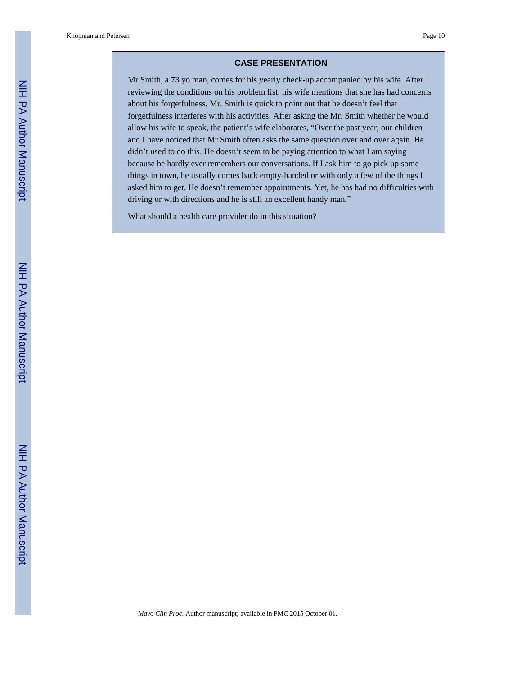#### **CASE PRESENTATION**

Mr Smith, a 73 yo man, comes for his yearly check-up accompanied by his wife. After reviewing the conditions on his problem list, his wife mentions that she has had concerns about his forgetfulness. Mr. Smith is quick to point out that he doesn't feel that forgetfulness interferes with his activities. After asking the Mr. Smith whether he would allow his wife to speak, the patient's wife elaborates, "Over the past year, our children and I have noticed that Mr Smith often asks the same question over and over again. He didn't used to do this. He doesn't seem to be paying attention to what I am saying because he hardly ever remembers our conversations. If I ask him to go pick up some things in town, he usually comes back empty-handed or with only a few of the things I asked him to get. He doesn't remember appointments. Yet, he has had no difficulties with driving or with directions and he is still an excellent handy man."

What should a health care provider do in this situation?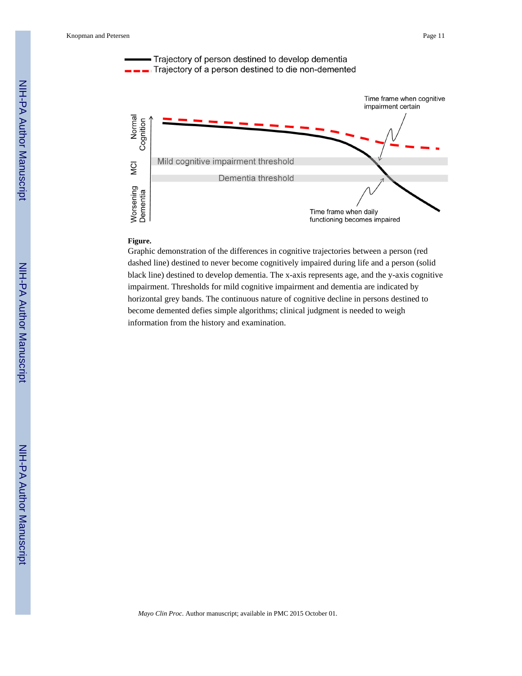

#### Time frame when daily functioning becomes impaired

#### **Figure.**

Graphic demonstration of the differences in cognitive trajectories between a person (red dashed line) destined to never become cognitively impaired during life and a person (solid black line) destined to develop dementia. The x-axis represents age, and the y-axis cognitive impairment. Thresholds for mild cognitive impairment and dementia are indicated by horizontal grey bands. The continuous nature of cognitive decline in persons destined to become demented defies simple algorithms; clinical judgment is needed to weigh information from the history and examination.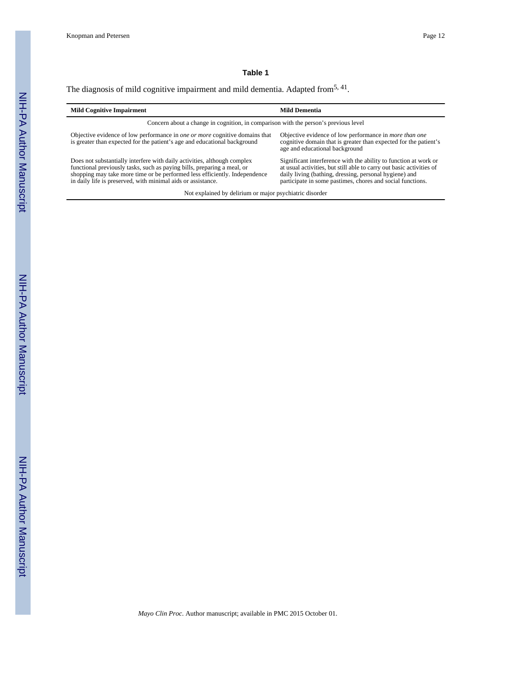#### **Table 1**

### The diagnosis of mild cognitive impairment and mild dementia. Adapted from<sup>5, 41</sup>.

| <b>Mild Cognitive Impairment</b>                                                                                                                                                                                                                                                                  | <b>Mild Dementia</b>                                                                                                                                                                                                                                             |  |  |
|---------------------------------------------------------------------------------------------------------------------------------------------------------------------------------------------------------------------------------------------------------------------------------------------------|------------------------------------------------------------------------------------------------------------------------------------------------------------------------------------------------------------------------------------------------------------------|--|--|
| Concern about a change in cognition, in comparison with the person's previous level                                                                                                                                                                                                               |                                                                                                                                                                                                                                                                  |  |  |
| Objective evidence of low performance in one or more cognitive domains that<br>is greater than expected for the patient's age and educational background                                                                                                                                          | Objective evidence of low performance in <i>more than one</i><br>cognitive domain that is greater than expected for the patient's<br>age and educational background                                                                                              |  |  |
| Does not substantially interfere with daily activities, although complex<br>functional previously tasks, such as paying bills, preparing a meal, or<br>shopping may take more time or be performed less efficiently. Independence<br>in daily life is preserved, with minimal aids or assistance. | Significant interference with the ability to function at work or<br>at usual activities, but still able to carry out basic activities of<br>daily living (bathing, dressing, personal hygiene) and<br>participate in some pastimes, chores and social functions. |  |  |
| Not explained by delirium or major psychiatric disorder                                                                                                                                                                                                                                           |                                                                                                                                                                                                                                                                  |  |  |